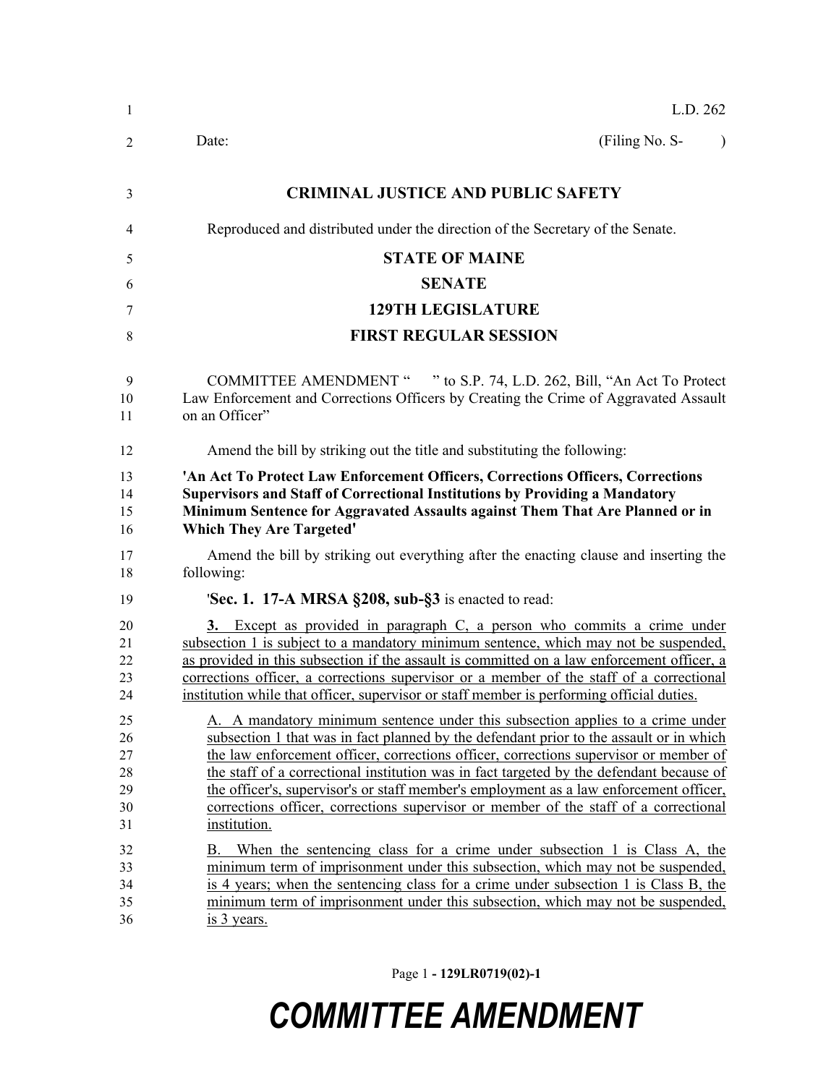| 1                                      | L.D. 262                                                                                                                                                                                                                                                                                                                                                                                                                                                                                                                                                         |
|----------------------------------------|------------------------------------------------------------------------------------------------------------------------------------------------------------------------------------------------------------------------------------------------------------------------------------------------------------------------------------------------------------------------------------------------------------------------------------------------------------------------------------------------------------------------------------------------------------------|
| 2                                      | (Filing No. S-<br>Date:<br>$\lambda$                                                                                                                                                                                                                                                                                                                                                                                                                                                                                                                             |
| 3                                      | <b>CRIMINAL JUSTICE AND PUBLIC SAFETY</b>                                                                                                                                                                                                                                                                                                                                                                                                                                                                                                                        |
| 4                                      | Reproduced and distributed under the direction of the Secretary of the Senate.                                                                                                                                                                                                                                                                                                                                                                                                                                                                                   |
| 5                                      | <b>STATE OF MAINE</b>                                                                                                                                                                                                                                                                                                                                                                                                                                                                                                                                            |
| 6                                      | <b>SENATE</b>                                                                                                                                                                                                                                                                                                                                                                                                                                                                                                                                                    |
| 7                                      | <b>129TH LEGISLATURE</b>                                                                                                                                                                                                                                                                                                                                                                                                                                                                                                                                         |
| 8                                      | <b>FIRST REGULAR SESSION</b>                                                                                                                                                                                                                                                                                                                                                                                                                                                                                                                                     |
| 9<br>10<br>11                          | <b>COMMITTEE AMENDMENT "</b><br>" to S.P. 74, L.D. 262, Bill, "An Act To Protect"<br>Law Enforcement and Corrections Officers by Creating the Crime of Aggravated Assault<br>on an Officer"                                                                                                                                                                                                                                                                                                                                                                      |
| 12                                     | Amend the bill by striking out the title and substituting the following:                                                                                                                                                                                                                                                                                                                                                                                                                                                                                         |
| 13<br>14<br>15<br>16                   | 'An Act To Protect Law Enforcement Officers, Corrections Officers, Corrections<br><b>Supervisors and Staff of Correctional Institutions by Providing a Mandatory</b><br>Minimum Sentence for Aggravated Assaults against Them That Are Planned or in<br><b>Which They Are Targeted'</b>                                                                                                                                                                                                                                                                          |
| 17<br>18                               | Amend the bill by striking out everything after the enacting clause and inserting the<br>following:                                                                                                                                                                                                                                                                                                                                                                                                                                                              |
| 19                                     | <b>Sec. 1. 17-A MRSA §208, sub-§3</b> is enacted to read:                                                                                                                                                                                                                                                                                                                                                                                                                                                                                                        |
| 20<br>21<br>22<br>23<br>24             | 3. Except as provided in paragraph C, a person who commits a crime under<br>subsection 1 is subject to a mandatory minimum sentence, which may not be suspended,<br>as provided in this subsection if the assault is committed on a law enforcement officer, a<br>corrections officer, a corrections supervisor or a member of the staff of a correctional<br>institution while that officer, supervisor or staff member is performing official duties.                                                                                                          |
| 25<br>26<br>27<br>28<br>29<br>30<br>31 | A. A mandatory minimum sentence under this subsection applies to a crime under<br>subsection 1 that was in fact planned by the defendant prior to the assault or in which<br>the law enforcement officer, corrections officer, corrections supervisor or member of<br>the staff of a correctional institution was in fact targeted by the defendant because of<br>the officer's, supervisor's or staff member's employment as a law enforcement officer,<br>corrections officer, corrections supervisor or member of the staff of a correctional<br>institution. |
| 32<br>33<br>34<br>35<br>36             | When the sentencing class for a crime under subsection 1 is Class A, the<br>В.<br>minimum term of imprisonment under this subsection, which may not be suspended,<br>is 4 years; when the sentencing class for a crime under subsection 1 is Class B, the<br>minimum term of imprisonment under this subsection, which may not be suspended,<br>is 3 years.                                                                                                                                                                                                      |

Page 1 **- 129LR0719(02)-1**

## *COMMITTEE AMENDMENT*